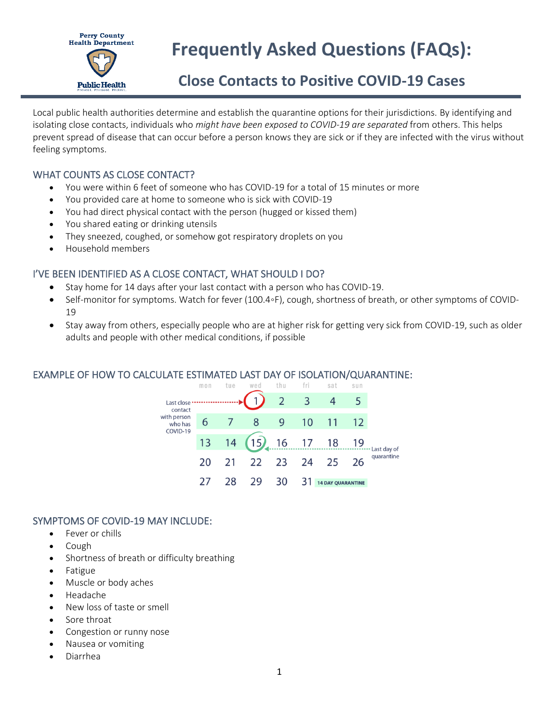

# **Frequently Asked Questions (FAQs):**

# **Close Contacts to Positive COVID-19 Cases**

Local public health authorities determine and establish the quarantine options for their jurisdictions. By identifying and isolating close contacts, individuals who *might have been exposed to COVID-19 are separated* from others. This helps prevent spread of disease that can occur before a person knows they are sick or if they are infected with the virus without feeling symptoms.

# WHAT COUNTS AS CLOSE CONTACT?

- You were within 6 feet of someone who has COVID-19 for a total of 15 minutes or more
- You provided care at home to someone who is sick with COVID-19
- You had direct physical contact with the person (hugged or kissed them)
- You shared eating or drinking utensils
- They sneezed, coughed, or somehow got respiratory droplets on you
- Household members

# I'VE BEEN IDENTIFIED AS A CLOSE CONTACT, WHAT SHOULD I DO?

- Stay home for 14 days after your last contact with a person who has COVID-19.
- Self-monitor for symptoms. Watch for fever (100.4◦F), cough, shortness of breath, or [other symptoms](https://www.cdc.gov/coronavirus/2019-ncov/symptoms-testing/symptoms.html) of COVID-19
- Stay away from others, especially people who are at higher risk for getting very sick from COVID-19, such as older adults and people with other medical conditions, if possible

# EXAMPLE OF HOW TO CALCULATE ESTIMATED LAST DAY OF ISOLATION/QUARANTINE:

|                                                             | mon | tue | wed                    | thu                      | fri                     | sat                      | sun |                           |
|-------------------------------------------------------------|-----|-----|------------------------|--------------------------|-------------------------|--------------------------|-----|---------------------------|
| Last close<br>contact<br>with person<br>who has<br>COVID-19 |     |     |                        | $\overline{\phantom{2}}$ | $\overline{\mathbf{3}}$ |                          |     |                           |
|                                                             | 6   |     | 8                      | 9                        | 10                      |                          | 12  | Last day of<br>quarantine |
|                                                             |     |     | 13 14 (15) 16 17 18 19 |                          |                         |                          |     |                           |
|                                                             | 20  | 21  | 22                     | 23                       | 24                      | 25                       | 26  |                           |
|                                                             |     | 28  | 29                     | 30                       |                         | <b>14 DAY QUARANTINE</b> |     |                           |

# SYMPTOMS OF COVID-19 MAY INCLUDE:

- Fever or chills
- Cough
- Shortness of breath or difficulty breathing
- Fatigue
- Muscle or body aches
- Headache
- New loss of taste or smell
- Sore throat
- Congestion or runny nose
- Nausea or vomiting
- Diarrhea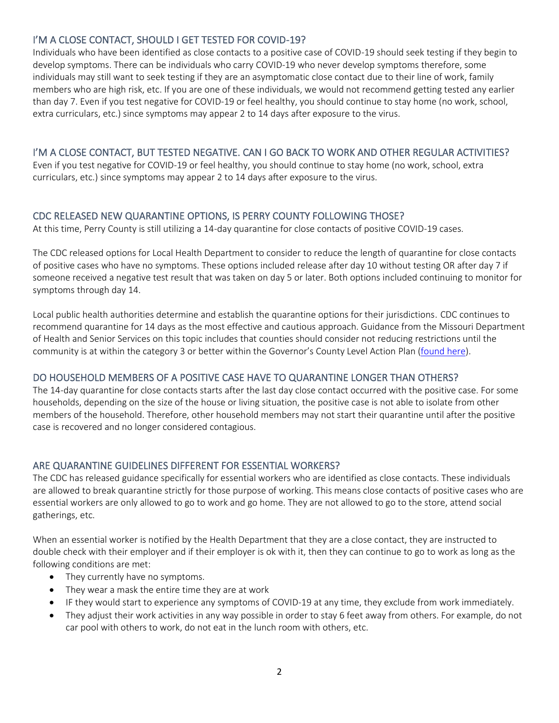# I'M A CLOSE CONTACT, SHOULD I GET TESTED FOR COVID-19?

Individuals who have been identified as close contacts to a positive case of COVID-19 should seek testing if they begin to develop symptoms. There can be individuals who carry COVID-19 who never develop symptoms therefore, some individuals may still want to seek testing if they are an asymptomatic close contact due to their line of work, family members who are high risk, etc. If you are one of these individuals, we would not recommend getting tested any earlier than day 7. Even if you test negative for COVID-19 or feel healthy, you should continue to stay home (no work, school, extra curriculars, etc.) since symptoms may appear 2 to 14 days after exposure to the virus.

#### I'M A CLOSE CONTACT, BUT TESTED NEGATIVE. CAN I GO BACK TO WORK AND OTHER REGULAR ACTIVITIES?

Even if you test negative for COVID-19 or feel healthy, you should continue to stay home (no work, school, extra curriculars, etc.) since symptoms may appear 2 to 14 days after exposure to the virus.

#### CDC RELEASED NEW QUARANTINE OPTIONS, IS PERRY COUNTY FOLLOWING THOSE?

At this time, Perry County is still utilizing a 14-day quarantine for close contacts of positive COVID-19 cases.

The CDC released options for Local Health Department to consider to reduce the length of quarantine for close contacts of positive cases who have no symptoms. These options included release after day 10 without testing OR after day 7 if someone received a negative test result that was taken on day 5 or later. Both options included continuing to monitor for symptoms through day 14.

Local public health authorities determine and establish the quarantine options for their jurisdictions. CDC continues to recommend quarantine for 14 days as the most effective and cautious approach. Guidance from the Missouri Department of Health and Senior Services on this topic includes that counties should consider not reducing restrictions until the community is at within the category 3 or better within the Governor's County Level Action Plan [\(found here\)](https://health.mo.gov/living/healthcondiseases/communicable/novel-coronavirus/pdf/advisory-20201119.pdf).

# DO HOUSEHOLD MEMBERS OF A POSITIVE CASE HAVE TO QUARANTINE LONGER THAN OTHERS?

The 14-day quarantine for close contacts starts after the last day close contact occurred with the positive case. For some households, depending on the size of the house or living situation, the positive case is not able to isolate from other members of the household. Therefore, other household members may not start their quarantine until after the positive case is recovered and no longer considered contagious.

#### ARE QUARANTINE GUIDELINES DIFFERENT FOR ESSENTIAL WORKERS?

The CDC has released guidance specifically for essential workers who are identified as close contacts. These individuals are allowed to break quarantine strictly for those purpose of working. This means close contacts of positive cases who are essential workers are only allowed to go to work and go home. They are not allowed to go to the store, attend social gatherings, etc.

When an essential worker is notified by the Health Department that they are a close contact, they are instructed to double check with their employer and if their employer is ok with it, then they can continue to go to work as long as the following conditions are met:

- They currently have no symptoms.
- They wear a mask the entire time they are at work
- IF they would start to experience any symptoms of COVID-19 at any time, they exclude from work immediately.
- They adjust their work activities in any way possible in order to stay 6 feet away from others. For example, do not car pool with others to work, do not eat in the lunch room with others, etc.